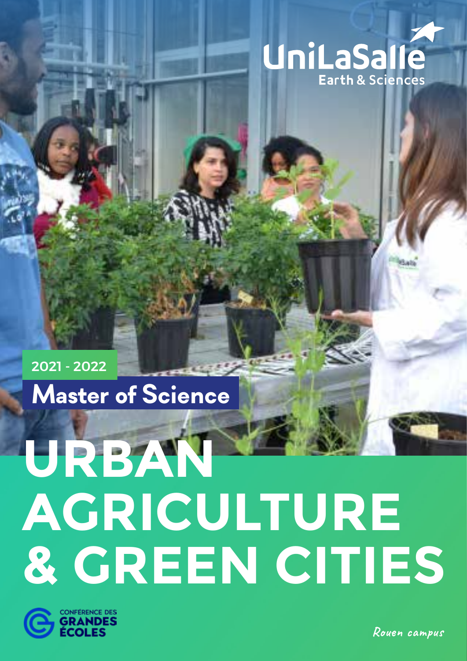

**Master of Science** 2021 - 2022

# **URBAN AGRICULTURE & GREEN CITIES**



**Rouen campus**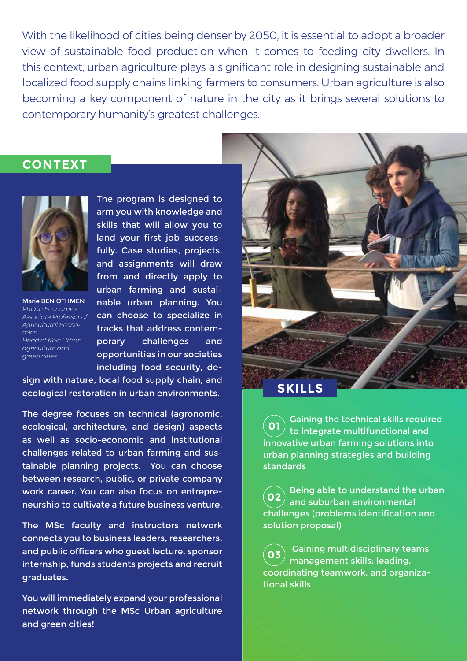With the likelihood of cities being denser by 2050, it is essential to adopt a broader view of sustainable food production when it comes to feeding city dwellers. In this context, urban agriculture plays a significant role in designing sustainable and localized food supply chains linking farmers to consumers. Urban agriculture is also becoming a key component of nature in the city as it brings several solutions to contemporary humanity's greatest challenges.

### **CONTEXT**



Marie BEN OTHMEN *PhD in Economics Associate Professor of Agricultural Economics Head of MSc Urban agriculture and green cities*

The program is designed to arm you with knowledge and skills that will allow you to land your first job successfully. Case studies, projects, and assignments will draw from and directly apply to urban farming and sustainable urban planning. You can choose to specialize in tracks that address contemporary challenges and opportunities in our societies including food security, de-

sign with nature, local food supply chain, and ecological restoration in urban environments.

The degree focuses on technical (agronomic, ecological, architecture, and design) aspects as well as socio-economic and institutional challenges related to urban farming and sustainable planning projects. You can choose between research, public, or private company work career. You can also focus on entrepreneurship to cultivate a future business venture.

The MSc faculty and instructors network connects you to business leaders, researchers, and public officers who guest lecture, sponsor internship, funds students projects and recruit graduates.

You will immediately expand your professional network through the MSc Urban agriculture and green cities!



Gaining the technical skills required to integrate multifunctional and innovative urban farming solutions into urban planning strategies and building standards **01**

Being able to understand the urban and suburban environmental challenges (problems identification and solution proposal) **02**

 Gaining multidisciplinary teams management skills: leading, coordinating teamwork, and organizational skills **03**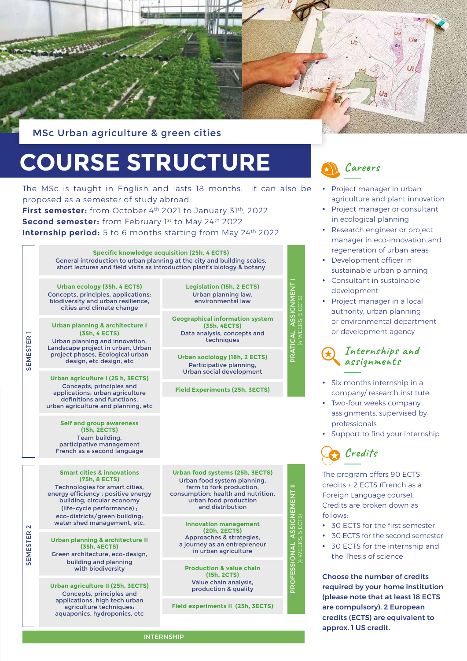

MSc Urban agriculture & green cities

## **COURSE STRUCTURE**

The MSc is taught in English and lasts 18 months. It can also be proposed as a semester of study abroad

First semester: from October 4<sup>th</sup> 2021 to January 31<sup>th</sup>, 2022 **Second semester:** from February 1st to May 24th 2022 **Internship period:** 5 to 6 months starting from May 24<sup>th</sup> 2022

> **Specific knowledge acquisition (25h, 4 ECTS)**  General introduction to urban planning at the city and building scales, short lectures and field visits as introduction plant's biology & botany

**Urban ecology (35h, 4 ECTS)**  Concepts, principles, applications: biodiversity and urban resilience, cities and climate change

**Urban planning & architecture I (35h, 4 ECTS)** Urban planning and innovation, Landscape project in urban, Urban project phases, Ecological urban design, etc design, etc

SEMESTER 1

SEMESTER<sub>1</sub>

SEMESTER 2

**SEMESTER** 

 $\sim$ 

**Urban agriculture I (25 h, 3ECTS)** Concepts, principles and applications; urban agriculture definitions and functions, urban agriculture and planning, etc

**Self and group awareness (15h, 2ECTS)**  Team building, participative management French as a second language

**Smart cities & innovations (75h, 8 ECTS)**  Technologies for smart cities,

energy efficiency ; positive energy building, circular economy (life-cycle performance) ; eco-districts/green building; water shed management, etc.

**Urban planning & architecture II (35h, 4ECTS)** Green architecture, eco-design,

building and planning with biodiversity

**Urban agriculture II (25h, 3ECTS)**  Concepts, principles and applications, high tech urban agriculture techniques: aquaponics, hydroponics, etc

**Geographical information system (35h, 4ECTS)** Data analysis, concepts and techniques **Urban sociology (18h, 2 ECTS)** 

**Legislation (15h, 2 ECTS)**  Urban planning law, environmental law

Participative planning, Urban social development

**Field Experiments (25h, 3ECTS)**

**Urban food systems (25h, 3ECTS)**  Urban food system planning, farm to fork production. consumption: health and nutrition, urban food production and distribution

**Innovation management (20h, 2ECTS)** Approaches & strategies, a journey as an entrepreneur in urban agriculture

PROFESSIONAL ASSIGNEMENT II (4 WEEKS, 5 ECTS)

PROFESSIONAL

**ASSIGNEMENT II** 

PRATICAL ASSIGNMENT I (4 WEEKS, 5 ECTS)

PRATICAL

WEEKS, 5 ECTS) ASSIGNM

NENT

**Production & value chain (15h, 2CTS)**  Value chain analysis, production & quality

**Field experiments II (25h, 3ECTS)**



- Project manager in urban agriculture and plant innovation
- Project manager or consultant in ecological planning
- Research engineer or project manager in eco-innovation and regeneration of urban areas
- Development officer in sustainable urban planning
- Consultant in sustainable development
- Project manager in a local authority, urban planning or environmental department or development agency



- Six months internship in a company/ research institute
- Two-four weeks company assignments, supervised by professionals
- Support to find your internship



The program offers 90 ECTS credits + 2 ECTS (French as a Foreign Language course). Credits are broken down as follows:

- 30 ECTS for the first semester
- 30 ECTS for the second semester
- 30 ECTS for the internship and
- the Thesis of science

Choose the number of credits required by your home institution (please note that at least 18 ECTS are compulsory). 2 European credits (ECTS) are equivalent to approx. 1 US credit.

**INTERNSHIP**